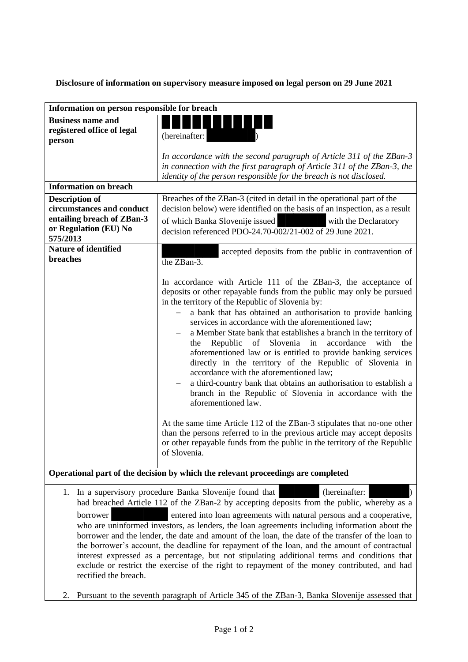**Disclosure of information on supervisory measure imposed on legal person on 29 June 2021**

| Information on person responsible for breach                                                                                                                                                                                                                                                                                                                                                                                                                                                                                                                                                                                                                                                                                                                                                |                                                                                                                                                                                                                                                                                                                                                                                                                                                                                                                                                                                                                                                                                                                                                                                                                                                                                                                                                                                                                                                 |
|---------------------------------------------------------------------------------------------------------------------------------------------------------------------------------------------------------------------------------------------------------------------------------------------------------------------------------------------------------------------------------------------------------------------------------------------------------------------------------------------------------------------------------------------------------------------------------------------------------------------------------------------------------------------------------------------------------------------------------------------------------------------------------------------|-------------------------------------------------------------------------------------------------------------------------------------------------------------------------------------------------------------------------------------------------------------------------------------------------------------------------------------------------------------------------------------------------------------------------------------------------------------------------------------------------------------------------------------------------------------------------------------------------------------------------------------------------------------------------------------------------------------------------------------------------------------------------------------------------------------------------------------------------------------------------------------------------------------------------------------------------------------------------------------------------------------------------------------------------|
| <b>Business name and</b><br>registered office of legal<br>person                                                                                                                                                                                                                                                                                                                                                                                                                                                                                                                                                                                                                                                                                                                            | (hereinafter:                                                                                                                                                                                                                                                                                                                                                                                                                                                                                                                                                                                                                                                                                                                                                                                                                                                                                                                                                                                                                                   |
|                                                                                                                                                                                                                                                                                                                                                                                                                                                                                                                                                                                                                                                                                                                                                                                             | In accordance with the second paragraph of Article 311 of the ZBan-3<br>in connection with the first paragraph of Article 311 of the ZBan-3, the<br>identity of the person responsible for the breach is not disclosed.                                                                                                                                                                                                                                                                                                                                                                                                                                                                                                                                                                                                                                                                                                                                                                                                                         |
| <b>Information on breach</b>                                                                                                                                                                                                                                                                                                                                                                                                                                                                                                                                                                                                                                                                                                                                                                |                                                                                                                                                                                                                                                                                                                                                                                                                                                                                                                                                                                                                                                                                                                                                                                                                                                                                                                                                                                                                                                 |
| <b>Description of</b><br>circumstances and conduct<br>entailing breach of ZBan-3<br>or Regulation (EU) No<br>575/2013                                                                                                                                                                                                                                                                                                                                                                                                                                                                                                                                                                                                                                                                       | Breaches of the ZBan-3 (cited in detail in the operational part of the<br>decision below) were identified on the basis of an inspection, as a result<br>of which Banka Slovenije issued<br><u>Tanta de Ca</u><br>with the Declaratory<br>decision referenced PDO-24.70-002/21-002 of 29 June 2021.                                                                                                                                                                                                                                                                                                                                                                                                                                                                                                                                                                                                                                                                                                                                              |
| <b>Nature of identified</b><br>breaches                                                                                                                                                                                                                                                                                                                                                                                                                                                                                                                                                                                                                                                                                                                                                     | accepted deposits from the public in contravention of<br>the ZBan-3.                                                                                                                                                                                                                                                                                                                                                                                                                                                                                                                                                                                                                                                                                                                                                                                                                                                                                                                                                                            |
|                                                                                                                                                                                                                                                                                                                                                                                                                                                                                                                                                                                                                                                                                                                                                                                             | In accordance with Article 111 of the ZBan-3, the acceptance of<br>deposits or other repayable funds from the public may only be pursued<br>in the territory of the Republic of Slovenia by:<br>a bank that has obtained an authorisation to provide banking<br>services in accordance with the aforementioned law;<br>a Member State bank that establishes a branch in the territory of<br>of Slovenia in<br>accordance<br>the<br>Republic<br>with<br>the<br>aforementioned law or is entitled to provide banking services<br>directly in the territory of the Republic of Slovenia in<br>accordance with the aforementioned law;<br>a third-country bank that obtains an authorisation to establish a<br>branch in the Republic of Slovenia in accordance with the<br>aforementioned law.<br>At the same time Article 112 of the ZBan-3 stipulates that no-one other<br>than the persons referred to in the previous article may accept deposits<br>or other repayable funds from the public in the territory of the Republic<br>of Slovenia. |
| Operational part of the decision by which the relevant proceedings are completed                                                                                                                                                                                                                                                                                                                                                                                                                                                                                                                                                                                                                                                                                                            |                                                                                                                                                                                                                                                                                                                                                                                                                                                                                                                                                                                                                                                                                                                                                                                                                                                                                                                                                                                                                                                 |
| (hereinafter:<br>1. In a supervisory procedure Banka Slovenije found that<br>had breached Article 112 of the ZBan-2 by accepting deposits from the public, whereby as a<br>borrower<br>entered into loan agreements with natural persons and a cooperative,<br>who are uninformed investors, as lenders, the loan agreements including information about the<br>borrower and the lender, the date and amount of the loan, the date of the transfer of the loan to<br>the borrower's account, the deadline for repayment of the loan, and the amount of contractual<br>interest expressed as a percentage, but not stipulating additional terms and conditions that<br>exclude or restrict the exercise of the right to repayment of the money contributed, and had<br>rectified the breach. |                                                                                                                                                                                                                                                                                                                                                                                                                                                                                                                                                                                                                                                                                                                                                                                                                                                                                                                                                                                                                                                 |

2. Pursuant to the seventh paragraph of Article 345 of the ZBan-3, Banka Slovenije assessed that